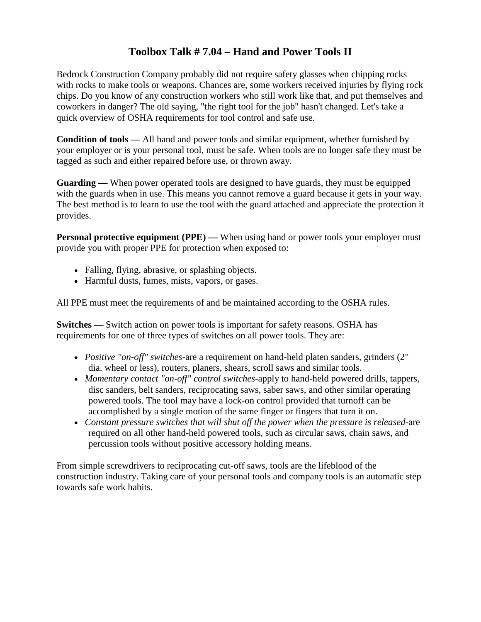## **Toolbox Talk # 7.04 – Hand and Power Tools II**

Bedrock Construction Company probably did not require safety glasses when chipping rocks with rocks to make tools or weapons. Chances are, some workers received injuries by flying rock chips. Do you know of any construction workers who still work like that, and put themselves and coworkers in danger? The old saying, "the right tool for the job" hasn't changed. Let's take a quick overview of OSHA requirements for tool control and safe use.

**Condition of tools —** All hand and power tools and similar equipment, whether furnished by your employer or is your personal tool, must be safe. When tools are no longer safe they must be tagged as such and either repaired before use, or thrown away.

**Guarding —** When power operated tools are designed to have guards, they must be equipped with the guards when in use. This means you cannot remove a guard because it gets in your way. The best method is to learn to use the tool with the guard attached and appreciate the protection it provides.

**Personal protective equipment (PPE) —** When using hand or power tools your employer must provide you with proper PPE for protection when exposed to:

- Falling, flying, abrasive, or splashing objects.
- Harmful dusts, fumes, mists, vapors, or gases.

All PPE must meet the requirements of and be maintained according to the OSHA rules.

**Switches** — Switch action on power tools is important for safety reasons. OSHA has requirements for one of three types of switches on all power tools. They are:

- *Positive "on-off" switches*-are a requirement on hand-held platen sanders, grinders (2" dia. wheel or less), routers, planers, shears, scroll saws and similar tools.
- *Momentary contact "on-off" control switches*-apply to hand-held powered drills, tappers, disc sanders, belt sanders, reciprocating saws, saber saws, and other similar operating powered tools. The tool may have a lock-on control provided that turnoff can be accomplished by a single motion of the same finger or fingers that turn it on.
- *Constant pressure switches that will shut off the power when the pressure is released*-are required on all other hand-held powered tools, such as circular saws, chain saws, and percussion tools without positive accessory holding means.

From simple screwdrivers to reciprocating cut-off saws, tools are the lifeblood of the construction industry. Taking care of your personal tools and company tools is an automatic step towards safe work habits.